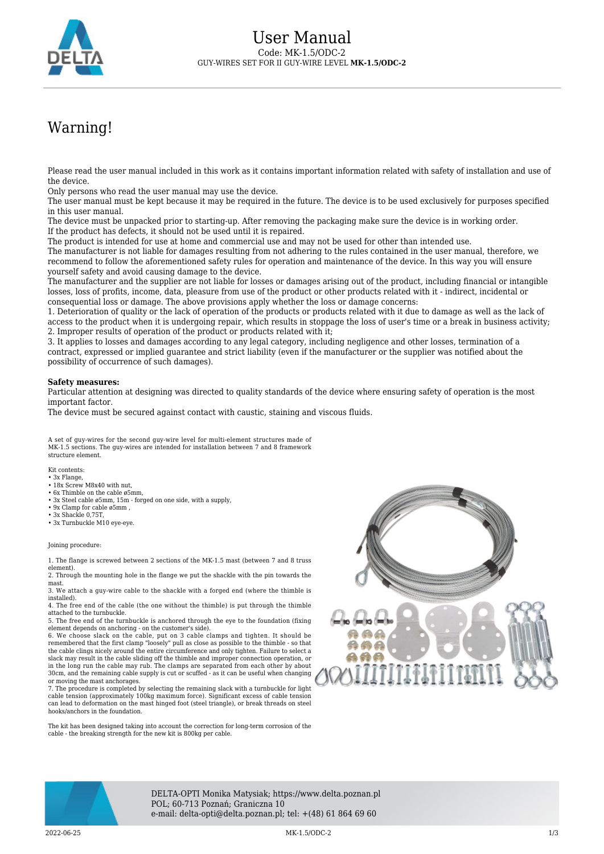

## Warning!

Please read the user manual included in this work as it contains important information related with safety of installation and use of the device.

Only persons who read the user manual may use the device.

The user manual must be kept because it may be required in the future. The device is to be used exclusively for purposes specified in this user manual.

The device must be unpacked prior to starting-up. After removing the packaging make sure the device is in working order. If the product has defects, it should not be used until it is repaired.

The product is intended for use at home and commercial use and may not be used for other than intended use.

The manufacturer is not liable for damages resulting from not adhering to the rules contained in the user manual, therefore, we recommend to follow the aforementioned safety rules for operation and maintenance of the device. In this way you will ensure yourself safety and avoid causing damage to the device.

The manufacturer and the supplier are not liable for losses or damages arising out of the product, including financial or intangible losses, loss of profits, income, data, pleasure from use of the product or other products related with it - indirect, incidental or consequential loss or damage. The above provisions apply whether the loss or damage concerns:

1. Deterioration of quality or the lack of operation of the products or products related with it due to damage as well as the lack of access to the product when it is undergoing repair, which results in stoppage the loss of user's time or a break in business activity; 2. Improper results of operation of the product or products related with it;

3. It applies to losses and damages according to any legal category, including negligence and other losses, termination of a contract, expressed or implied guarantee and strict liability (even if the manufacturer or the supplier was notified about the possibility of occurrence of such damages).

## **Safety measures:**

Particular attention at designing was directed to quality standards of the device where ensuring safety of operation is the most important factor.

The device must be secured against contact with caustic, staining and viscous fluids.

A set of guy-wires for the second guy-wire level for multi-element structures made of MK-1.5 sections. The guy-wires are intended for installation between 7 and 8 framework structure element.

Kit contents:

- 3x Flange, • 18x Screw M8x40 with nut.
- 6x Thimble on the cable ø5mm,
- 3x Steel cable ø5mm, 15m forged on one side, with a supply,
- 9x Clamp for cable ø5mm ,
- 3x Shackle 0,75T,
- 3x Turnbuckle M10 eye-eye

Joining procedure:

1. The flange is screwed between 2 sections of the MK-1.5 mast (between 7 and 8 truss element).

2. Through the mounting hole in the flange we put the shackle with the pin towards the mast.

3. We attach a guy-wire cable to the shackle with a forged end (where the thimble is installed). 4. The free end of the cable (the one without the thimble) is put through the thimble

attached to the turnbuckle. 5. The free end of the turnbuckle is anchored through the eye to the foundation (fixing

element depends on anchoring - on the customer's side).<br>6. We choose slack on the cable, put on 3 cable clamps and tighten. It should be<br>remembered that the first clamp "loosely" pull as close as possible to the thimble the cable clings nicely around the entire circumference and only tighten. Failure to select a slack may result in the cable sliding off the thimble and improper connection operation, or in the long run the cable may rub. The clamps are separated from each other by about 30cm, and the remaining cable supply is cut or scuffed - as it can be useful when changing or moving the mast anchorages.

7. The procedure is completed by selecting the remaining slack with a turnbuckle for light cable tension (approximately 100kg maximum force). Significant excess of cable tension can lead to deformation on the mast hinged foot (steel triangle), or break threads on steel hooks/anchors in the foundation.

The kit has been designed taking into account the correction for long-term corrosion of the cable - the breaking strength for the new kit is 800kg per cable.





DELTA-OPTI Monika Matysiak; https://www.delta.poznan.pl POL; 60-713 Poznań; Graniczna 10 e-mail: delta-opti@delta.poznan.pl; tel: +(48) 61 864 69 60

2022-06-25 MK-1.5/ODC-2 1/3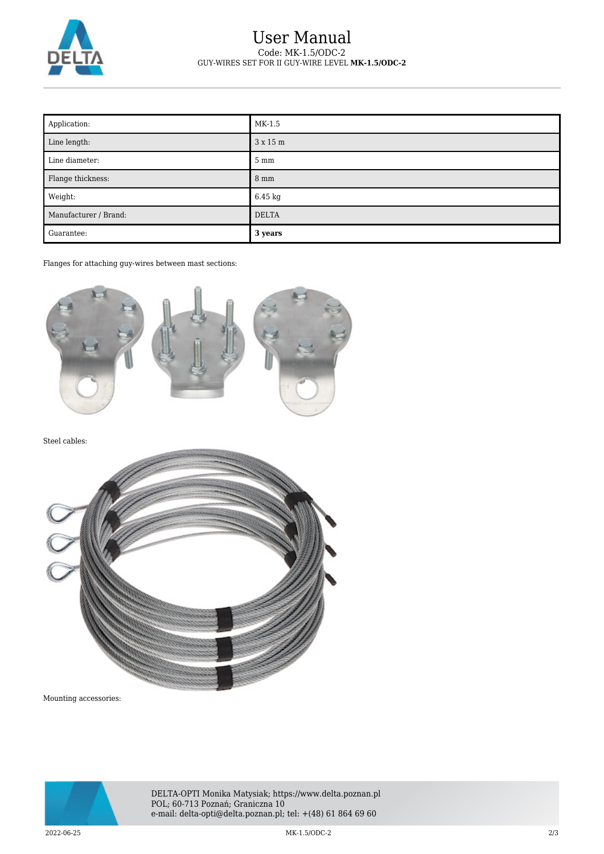

## User Manual Code: MK-1.5/ODC-2 GUY-WIRES SET FOR II GUY-WIRE LEVEL **MK-1.5/ODC-2**

| Application:          | MK-1.5            |
|-----------------------|-------------------|
| Line length:          | 3 x 15 m          |
| Line diameter:        | $5 \text{ mm}$    |
| Flange thickness:     | $8 \text{ mm}$    |
| Weight:               | $6.45 \text{ kg}$ |
| Manufacturer / Brand: | <b>DELTA</b>      |
| Guarantee:            | 3 years           |

Flanges for attaching guy-wires between mast sections:



Steel cables:



Mounting accessories:



DELTA-OPTI Monika Matysiak; https://www.delta.poznan.pl POL; 60-713 Poznań; Graniczna 10 e-mail: delta-opti@delta.poznan.pl; tel: +(48) 61 864 69 60

2022-06-25 MK-1.5/ODC-2 2/3